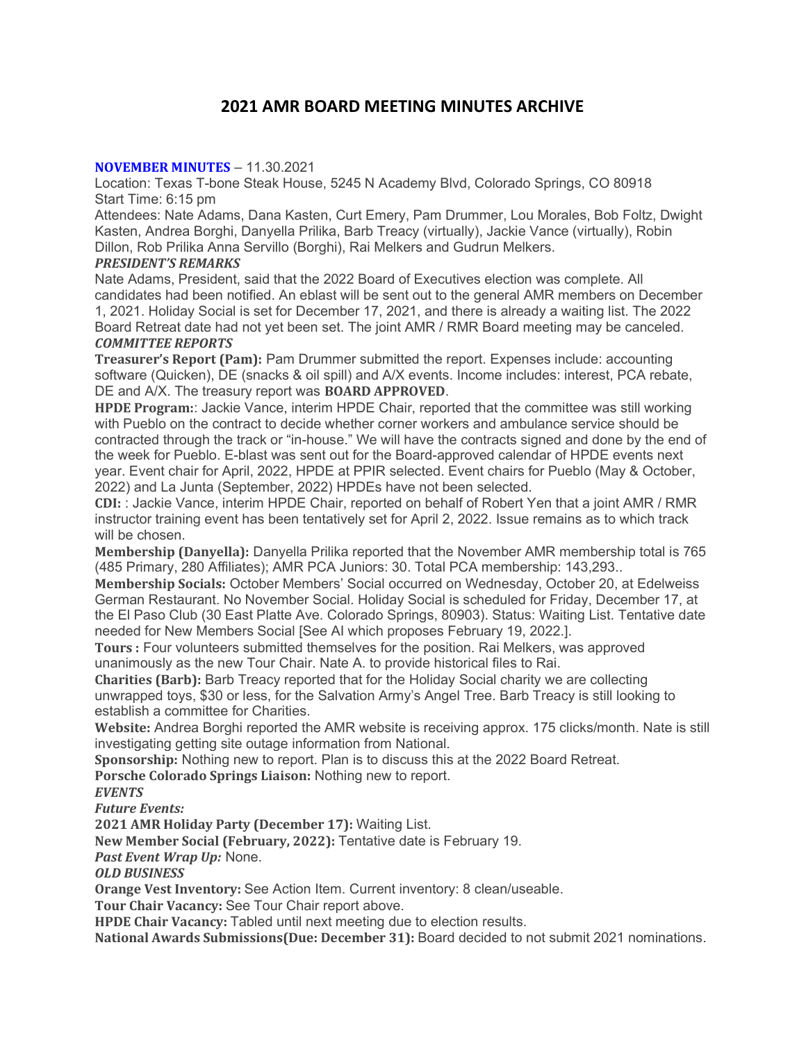# 2021 AMR BOARD MEETING MINUTES ARCHIVE

#### NOVEMBER MINUTES – 11.30.2021

Location: Texas T-bone Steak House, 5245 N Academy Blvd, Colorado Springs, CO 80918 Start Time: 6:15 pm

Attendees: Nate Adams, Dana Kasten, Curt Emery, Pam Drummer, Lou Morales, Bob Foltz, Dwight Kasten, Andrea Borghi, Danyella Prilika, Barb Treacy (virtually), Jackie Vance (virtually), Robin Dillon, Rob Prilika Anna Servillo (Borghi), Rai Melkers and Gudrun Melkers.

#### PRESIDENT'S REMARKS

Nate Adams, President, said that the 2022 Board of Executives election was complete. All candidates had been notified. An eblast will be sent out to the general AMR members on December 1, 2021. Holiday Social is set for December 17, 2021, and there is already a waiting list. The 2022 Board Retreat date had not yet been set. The joint AMR / RMR Board meeting may be canceled. COMMITTEE REPORTS

Treasurer's Report (Pam): Pam Drummer submitted the report. Expenses include: accounting software (Quicken), DE (snacks & oil spill) and A/X events. Income includes: interest, PCA rebate, DE and A/X. The treasury report was BOARD APPROVED.

HPDE Program:: Jackie Vance, interim HPDE Chair, reported that the committee was still working with Pueblo on the contract to decide whether corner workers and ambulance service should be contracted through the track or "in-house." We will have the contracts signed and done by the end of the week for Pueblo. E-blast was sent out for the Board-approved calendar of HPDE events next year. Event chair for April, 2022, HPDE at PPIR selected. Event chairs for Pueblo (May & October, 2022) and La Junta (September, 2022) HPDEs have not been selected.

CDI: : Jackie Vance, interim HPDE Chair, reported on behalf of Robert Yen that a joint AMR / RMR instructor training event has been tentatively set for April 2, 2022. Issue remains as to which track will be chosen.

Membership (Danyella): Danyella Prilika reported that the November AMR membership total is 765 (485 Primary, 280 Affiliates); AMR PCA Juniors: 30. Total PCA membership: 143,293..

Membership Socials: October Members' Social occurred on Wednesday, October 20, at Edelweiss German Restaurant. No November Social. Holiday Social is scheduled for Friday, December 17, at the El Paso Club (30 East Platte Ave. Colorado Springs, 80903). Status: Waiting List. Tentative date needed for New Members Social [See AI which proposes February 19, 2022.].

Tours : Four volunteers submitted themselves for the position. Rai Melkers, was approved unanimously as the new Tour Chair. Nate A. to provide historical files to Rai.

Charities (Barb): Barb Treacy reported that for the Holiday Social charity we are collecting unwrapped toys, \$30 or less, for the Salvation Army's Angel Tree. Barb Treacy is still looking to establish a committee for Charities.

Website: Andrea Borghi reported the AMR website is receiving approx. 175 clicks/month. Nate is still investigating getting site outage information from National.

Sponsorship: Nothing new to report. Plan is to discuss this at the 2022 Board Retreat.

Porsche Colorado Springs Liaison: Nothing new to report.

**EVENTS** 

Future Events:

2021 AMR Holiday Party (December 17): Waiting List.

New Member Social (February, 2022): Tentative date is February 19.

Past Event Wrap Up: None.

OLD BUSINESS

Orange Vest Inventory: See Action Item. Current inventory: 8 clean/useable.

Tour Chair Vacancy: See Tour Chair report above.

HPDE Chair Vacancy: Tabled until next meeting due to election results.

National Awards Submissions(Due: December 31): Board decided to not submit 2021 nominations.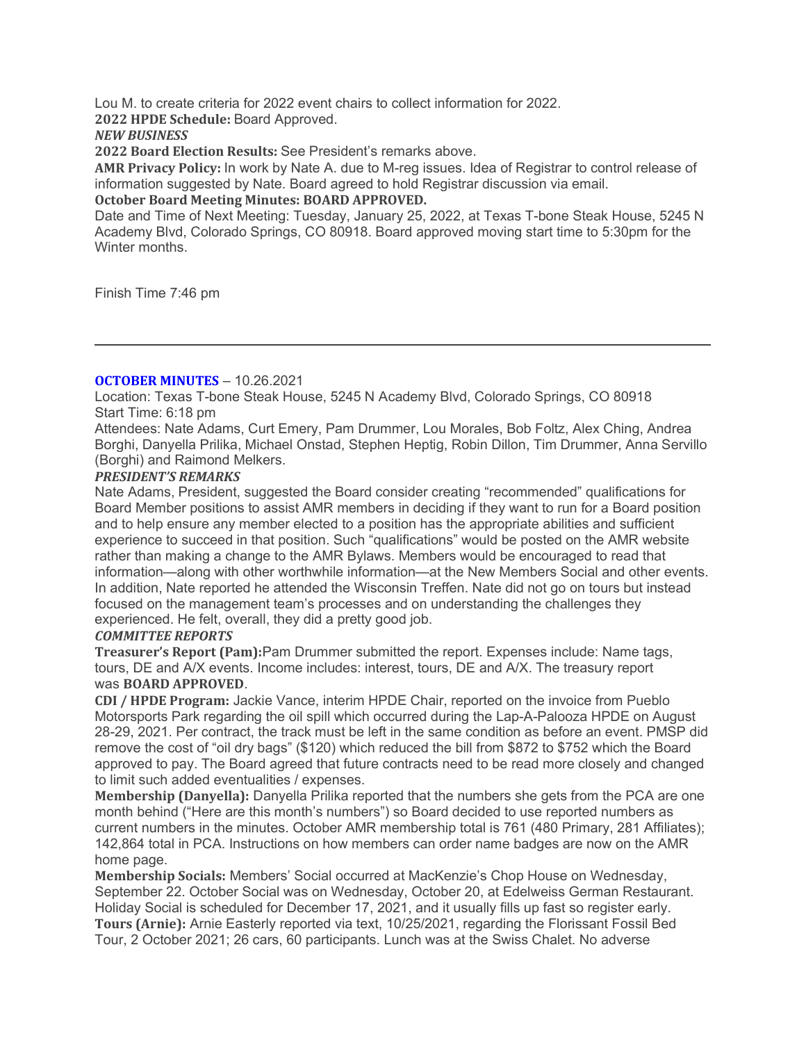Lou M. to create criteria for 2022 event chairs to collect information for 2022.

2022 HPDE Schedule: Board Approved.

NEW BUSINESS

2022 Board Election Results: See President's remarks above.

AMR Privacy Policy: In work by Nate A. due to M-reg issues. Idea of Registrar to control release of information suggested by Nate. Board agreed to hold Registrar discussion via email. October Board Meeting Minutes: BOARD APPROVED.

Date and Time of Next Meeting: Tuesday, January 25, 2022, at Texas T-bone Steak House, 5245 N Academy Blvd, Colorado Springs, CO 80918. Board approved moving start time to 5:30pm for the Winter months.

Finish Time 7:46 pm

# OCTOBER MINUTES – 10.26.2021

Location: Texas T-bone Steak House, 5245 N Academy Blvd, Colorado Springs, CO 80918 Start Time: 6:18 pm

Attendees: Nate Adams, Curt Emery, Pam Drummer, Lou Morales, Bob Foltz, Alex Ching, Andrea Borghi, Danyella Prilika, Michael Onstad, Stephen Heptig, Robin Dillon, Tim Drummer, Anna Servillo (Borghi) and Raimond Melkers.

#### PRESIDENT'S REMARKS

Nate Adams, President, suggested the Board consider creating "recommended" qualifications for Board Member positions to assist AMR members in deciding if they want to run for a Board position and to help ensure any member elected to a position has the appropriate abilities and sufficient experience to succeed in that position. Such "qualifications" would be posted on the AMR website rather than making a change to the AMR Bylaws. Members would be encouraged to read that information—along with other worthwhile information—at the New Members Social and other events. In addition, Nate reported he attended the Wisconsin Treffen. Nate did not go on tours but instead focused on the management team's processes and on understanding the challenges they experienced. He felt, overall, they did a pretty good job.

# COMMITTEE REPORTS

Treasurer's Report (Pam):Pam Drummer submitted the report. Expenses include: Name tags, tours, DE and A/X events. Income includes: interest, tours, DE and A/X. The treasury report was BOARD APPROVED.

CDI / HPDE Program: Jackie Vance, interim HPDE Chair, reported on the invoice from Pueblo Motorsports Park regarding the oil spill which occurred during the Lap-A-Palooza HPDE on August 28-29, 2021. Per contract, the track must be left in the same condition as before an event. PMSP did remove the cost of "oil dry bags" (\$120) which reduced the bill from \$872 to \$752 which the Board approved to pay. The Board agreed that future contracts need to be read more closely and changed to limit such added eventualities / expenses.

Membership (Danyella): Danyella Prilika reported that the numbers she gets from the PCA are one month behind ("Here are this month's numbers") so Board decided to use reported numbers as current numbers in the minutes. October AMR membership total is 761 (480 Primary, 281 Affiliates); 142,864 total in PCA. Instructions on how members can order name badges are now on the AMR home page.

Membership Socials: Members' Social occurred at MacKenzie's Chop House on Wednesday, September 22. October Social was on Wednesday, October 20, at Edelweiss German Restaurant. Holiday Social is scheduled for December 17, 2021, and it usually fills up fast so register early. Tours (Arnie): Arnie Easterly reported via text, 10/25/2021, regarding the Florissant Fossil Bed Tour, 2 October 2021; 26 cars, 60 participants. Lunch was at the Swiss Chalet. No adverse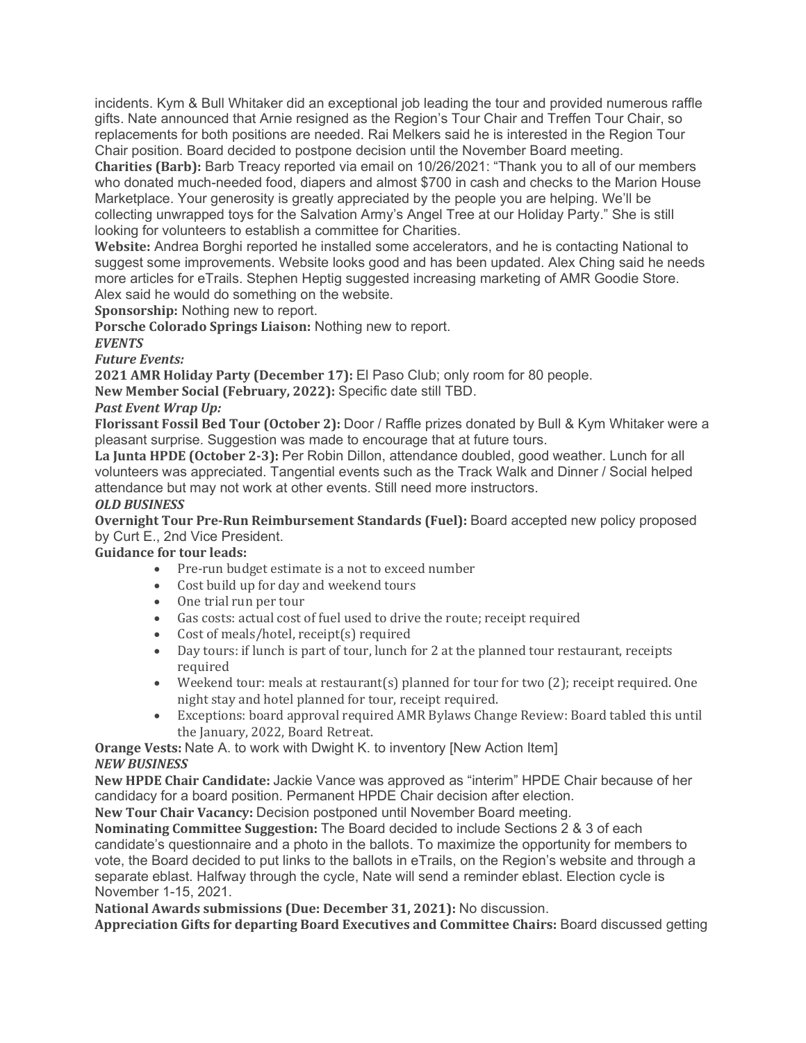incidents. Kym & Bull Whitaker did an exceptional job leading the tour and provided numerous raffle gifts. Nate announced that Arnie resigned as the Region's Tour Chair and Treffen Tour Chair, so replacements for both positions are needed. Rai Melkers said he is interested in the Region Tour Chair position. Board decided to postpone decision until the November Board meeting.

Charities (Barb): Barb Treacy reported via email on 10/26/2021: "Thank you to all of our members who donated much-needed food, diapers and almost \$700 in cash and checks to the Marion House Marketplace. Your generosity is greatly appreciated by the people you are helping. We'll be collecting unwrapped toys for the Salvation Army's Angel Tree at our Holiday Party." She is still looking for volunteers to establish a committee for Charities.

Website: Andrea Borghi reported he installed some accelerators, and he is contacting National to suggest some improvements. Website looks good and has been updated. Alex Ching said he needs more articles for eTrails. Stephen Heptig suggested increasing marketing of AMR Goodie Store. Alex said he would do something on the website.

Sponsorship: Nothing new to report.

Porsche Colorado Springs Liaison: Nothing new to report.

**EVENTS** 

Future Events:

2021 AMR Holiday Party (December 17): El Paso Club; only room for 80 people.

New Member Social (February, 2022): Specific date still TBD.

# Past Event Wrap Up:

Florissant Fossil Bed Tour (October 2): Door / Raffle prizes donated by Bull & Kym Whitaker were a pleasant surprise. Suggestion was made to encourage that at future tours.

La Junta HPDE (October 2-3): Per Robin Dillon, attendance doubled, good weather. Lunch for all volunteers was appreciated. Tangential events such as the Track Walk and Dinner / Social helped attendance but may not work at other events. Still need more instructors.

#### OLD BUSINESS

Overnight Tour Pre-Run Reimbursement Standards (Fuel): Board accepted new policy proposed by Curt E., 2nd Vice President.

# Guidance for tour leads:

- Pre-run budget estimate is a not to exceed number
- Cost build up for day and weekend tours
- One trial run per tour
- Gas costs: actual cost of fuel used to drive the route; receipt required
- Cost of meals/hotel, receipt(s) required
- Day tours: if lunch is part of tour, lunch for 2 at the planned tour restaurant, receipts required
- Weekend tour: meals at restaurant(s) planned for tour for two (2); receipt required. One night stay and hotel planned for tour, receipt required.
- Exceptions: board approval required AMR Bylaws Change Review: Board tabled this until the January, 2022, Board Retreat.

Orange Vests: Nate A. to work with Dwight K. to inventory [New Action Item] NEW BUSINESS

New HPDE Chair Candidate: Jackie Vance was approved as "interim" HPDE Chair because of her candidacy for a board position. Permanent HPDE Chair decision after election.

New Tour Chair Vacancy: Decision postponed until November Board meeting.

Nominating Committee Suggestion: The Board decided to include Sections 2 & 3 of each candidate's questionnaire and a photo in the ballots. To maximize the opportunity for members to vote, the Board decided to put links to the ballots in eTrails, on the Region's website and through a separate eblast. Halfway through the cycle, Nate will send a reminder eblast. Election cycle is November 1-15, 2021.

National Awards submissions (Due: December 31, 2021): No discussion.

Appreciation Gifts for departing Board Executives and Committee Chairs: Board discussed getting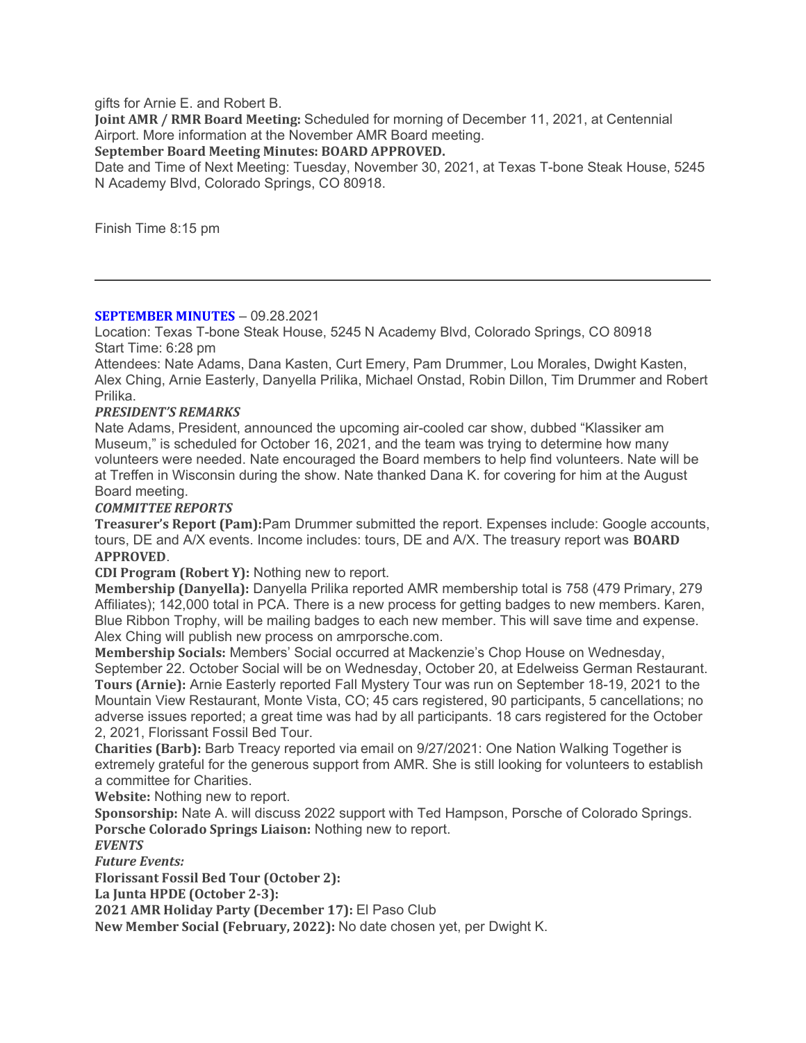gifts for Arnie E. and Robert B.

Joint AMR / RMR Board Meeting: Scheduled for morning of December 11, 2021, at Centennial Airport. More information at the November AMR Board meeting.

September Board Meeting Minutes: BOARD APPROVED.

Date and Time of Next Meeting: Tuesday, November 30, 2021, at Texas T-bone Steak House, 5245 N Academy Blvd, Colorado Springs, CO 80918.

Finish Time 8:15 pm

#### SEPTEMBER MINUTES – 09.28.2021

Location: Texas T-bone Steak House, 5245 N Academy Blvd, Colorado Springs, CO 80918 Start Time: 6:28 pm

Attendees: Nate Adams, Dana Kasten, Curt Emery, Pam Drummer, Lou Morales, Dwight Kasten, Alex Ching, Arnie Easterly, Danyella Prilika, Michael Onstad, Robin Dillon, Tim Drummer and Robert Prilika.

#### PRESIDENT'S REMARKS

Nate Adams, President, announced the upcoming air-cooled car show, dubbed "Klassiker am Museum," is scheduled for October 16, 2021, and the team was trying to determine how many volunteers were needed. Nate encouraged the Board members to help find volunteers. Nate will be at Treffen in Wisconsin during the show. Nate thanked Dana K. for covering for him at the August Board meeting.

#### COMMITTEE REPORTS

Treasurer's Report (Pam):Pam Drummer submitted the report. Expenses include: Google accounts, tours, DE and A/X events. Income includes: tours, DE and A/X. The treasury report was BOARD APPROVED.

CDI Program (Robert Y): Nothing new to report.

Membership (Danyella): Danyella Prilika reported AMR membership total is 758 (479 Primary, 279 Affiliates); 142,000 total in PCA. There is a new process for getting badges to new members. Karen, Blue Ribbon Trophy, will be mailing badges to each new member. This will save time and expense. Alex Ching will publish new process on amrporsche.com.

Membership Socials: Members' Social occurred at Mackenzie's Chop House on Wednesday, September 22. October Social will be on Wednesday, October 20, at Edelweiss German Restaurant. Tours (Arnie): Arnie Easterly reported Fall Mystery Tour was run on September 18-19, 2021 to the Mountain View Restaurant, Monte Vista, CO; 45 cars registered, 90 participants, 5 cancellations; no adverse issues reported; a great time was had by all participants. 18 cars registered for the October 2, 2021, Florissant Fossil Bed Tour.

Charities (Barb): Barb Treacy reported via email on 9/27/2021: One Nation Walking Together is extremely grateful for the generous support from AMR. She is still looking for volunteers to establish a committee for Charities.

Website: Nothing new to report.

Sponsorship: Nate A. will discuss 2022 support with Ted Hampson, Porsche of Colorado Springs. Porsche Colorado Springs Liaison: Nothing new to report.

**EVENTS** 

Future Events:

Florissant Fossil Bed Tour (October 2):

La Junta HPDE (October 2-3):

2021 AMR Holiday Party (December 17): El Paso Club

New Member Social (February, 2022): No date chosen yet, per Dwight K.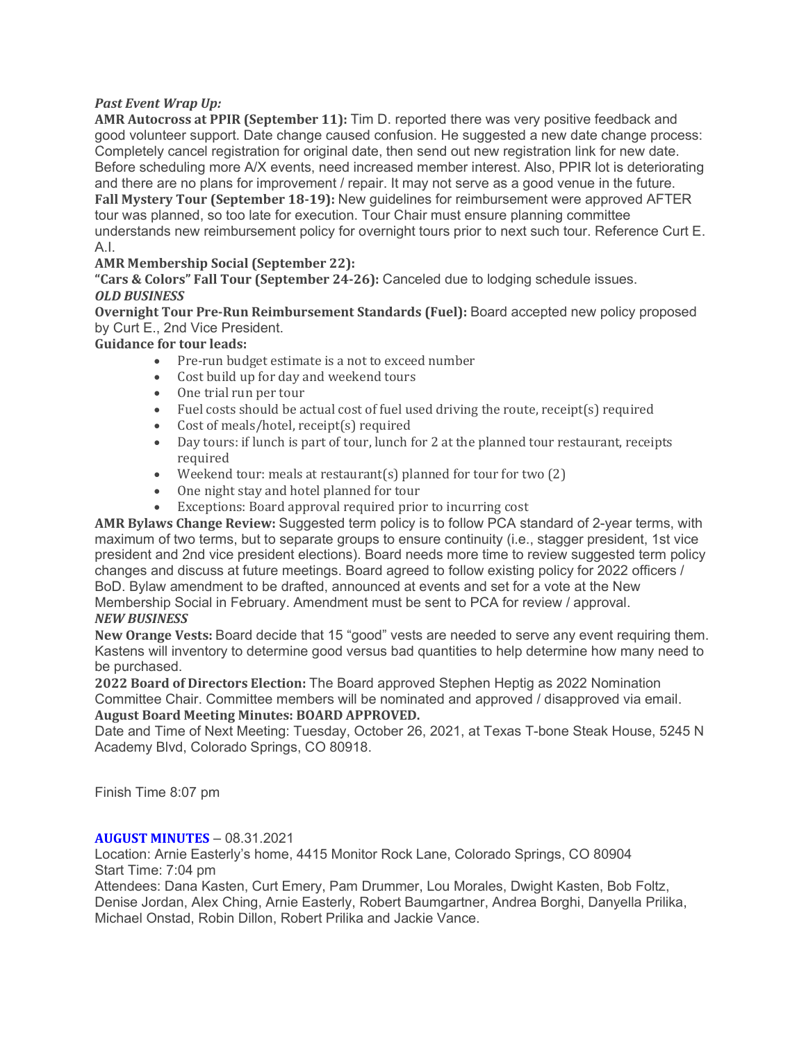# Past Event Wrap Up:

AMR Autocross at PPIR (September 11): Tim D. reported there was very positive feedback and good volunteer support. Date change caused confusion. He suggested a new date change process: Completely cancel registration for original date, then send out new registration link for new date. Before scheduling more A/X events, need increased member interest. Also, PPIR lot is deteriorating and there are no plans for improvement / repair. It may not serve as a good venue in the future. Fall Mystery Tour (September 18-19): New guidelines for reimbursement were approved AFTER tour was planned, so too late for execution. Tour Chair must ensure planning committee understands new reimbursement policy for overnight tours prior to next such tour. Reference Curt E. A.I.

# AMR Membership Social (September 22):

"Cars & Colors" Fall Tour (September 24-26): Canceled due to lodging schedule issues. OLD BUSINESS

Overnight Tour Pre-Run Reimbursement Standards (Fuel): Board accepted new policy proposed by Curt E., 2nd Vice President.

Guidance for tour leads:

- Pre-run budget estimate is a not to exceed number
- Cost build up for day and weekend tours
- One trial run per tour
- Fuel costs should be actual cost of fuel used driving the route, receipt(s) required
- Cost of meals/hotel, receipt(s) required
- Day tours: if lunch is part of tour, lunch for 2 at the planned tour restaurant, receipts required
- Weekend tour: meals at restaurant(s) planned for tour for two (2)
- One night stay and hotel planned for tour
- Exceptions: Board approval required prior to incurring cost

AMR Bylaws Change Review: Suggested term policy is to follow PCA standard of 2-year terms, with maximum of two terms, but to separate groups to ensure continuity (i.e., stagger president, 1st vice president and 2nd vice president elections). Board needs more time to review suggested term policy changes and discuss at future meetings. Board agreed to follow existing policy for 2022 officers / BoD. Bylaw amendment to be drafted, announced at events and set for a vote at the New Membership Social in February. Amendment must be sent to PCA for review / approval.

# NEW BUSINESS

New Orange Vests: Board decide that 15 "good" vests are needed to serve any event requiring them. Kastens will inventory to determine good versus bad quantities to help determine how many need to be purchased.

2022 Board of Directors Election: The Board approved Stephen Heptig as 2022 Nomination Committee Chair. Committee members will be nominated and approved / disapproved via email. August Board Meeting Minutes: BOARD APPROVED.

Date and Time of Next Meeting: Tuesday, October 26, 2021, at Texas T-bone Steak House, 5245 N Academy Blvd, Colorado Springs, CO 80918.

Finish Time 8:07 pm

# AUGUST MINUTES – 08.31.2021

Location: Arnie Easterly's home, 4415 Monitor Rock Lane, Colorado Springs, CO 80904 Start Time: 7:04 pm

Attendees: Dana Kasten, Curt Emery, Pam Drummer, Lou Morales, Dwight Kasten, Bob Foltz, Denise Jordan, Alex Ching, Arnie Easterly, Robert Baumgartner, Andrea Borghi, Danyella Prilika, Michael Onstad, Robin Dillon, Robert Prilika and Jackie Vance.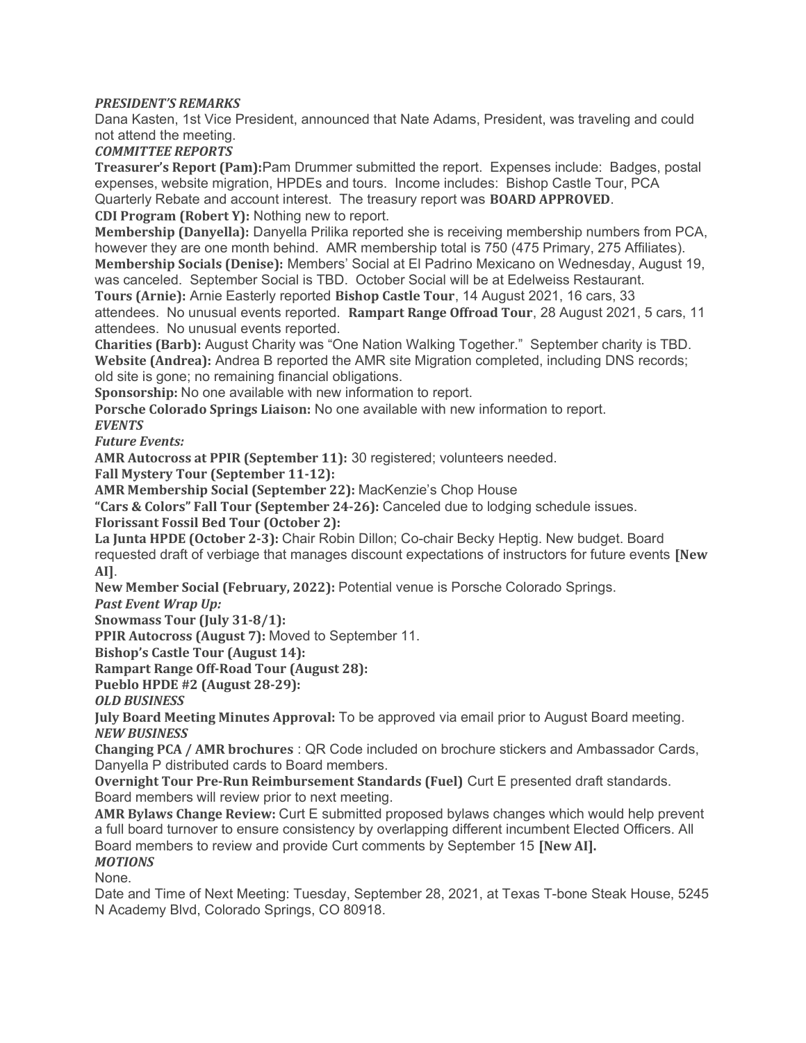# PRESIDENT'S REMARKS

Dana Kasten, 1st Vice President, announced that Nate Adams, President, was traveling and could not attend the meeting.

COMMITTEE REPORTS

Treasurer's Report (Pam):Pam Drummer submitted the report. Expenses include: Badges, postal expenses, website migration, HPDEs and tours. Income includes: Bishop Castle Tour, PCA Quarterly Rebate and account interest. The treasury report was BOARD APPROVED. CDI Program (Robert Y): Nothing new to report.

Membership (Danyella): Danyella Prilika reported she is receiving membership numbers from PCA, however they are one month behind. AMR membership total is 750 (475 Primary, 275 Affiliates). Membership Socials (Denise): Members' Social at El Padrino Mexicano on Wednesday, August 19,

was canceled. September Social is TBD. October Social will be at Edelweiss Restaurant. Tours (Arnie): Arnie Easterly reported Bishop Castle Tour, 14 August 2021, 16 cars, 33 attendees. No unusual events reported. Rampart Range Offroad Tour, 28 August 2021, 5 cars, 11 attendees. No unusual events reported.

Charities (Barb): August Charity was "One Nation Walking Together." September charity is TBD. Website (Andrea): Andrea B reported the AMR site Migration completed, including DNS records; old site is gone; no remaining financial obligations.

Sponsorship: No one available with new information to report.

Porsche Colorado Springs Liaison: No one available with new information to report. **EVENTS** 

Future Events:

AMR Autocross at PPIR (September 11): 30 registered; volunteers needed.

Fall Mystery Tour (September 11-12):

AMR Membership Social (September 22): MacKenzie's Chop House

"Cars & Colors" Fall Tour (September 24-26): Canceled due to lodging schedule issues. Florissant Fossil Bed Tour (October 2):

La Junta HPDE (October 2-3): Chair Robin Dillon; Co-chair Becky Heptig. New budget. Board requested draft of verbiage that manages discount expectations of instructors for future events [New AI].

New Member Social (February, 2022): Potential venue is Porsche Colorado Springs.

Past Event Wrap Up:

Snowmass Tour (July 31-8/1):

PPIR Autocross (August 7): Moved to September 11.

Bishop's Castle Tour (August 14):

Rampart Range Off-Road Tour (August 28):

Pueblo HPDE #2 (August 28-29):

OLD BUSINESS

July Board Meeting Minutes Approval: To be approved via email prior to August Board meeting. NEW BUSINESS

Changing PCA / AMR brochures : QR Code included on brochure stickers and Ambassador Cards, Danyella P distributed cards to Board members.

Overnight Tour Pre-Run Reimbursement Standards (Fuel) Curt E presented draft standards. Board members will review prior to next meeting.

AMR Bylaws Change Review: Curt E submitted proposed bylaws changes which would help prevent a full board turnover to ensure consistency by overlapping different incumbent Elected Officers. All Board members to review and provide Curt comments by September 15 [New AI]. **MOTIONS** 

None.

Date and Time of Next Meeting: Tuesday, September 28, 2021, at Texas T-bone Steak House, 5245 N Academy Blvd, Colorado Springs, CO 80918.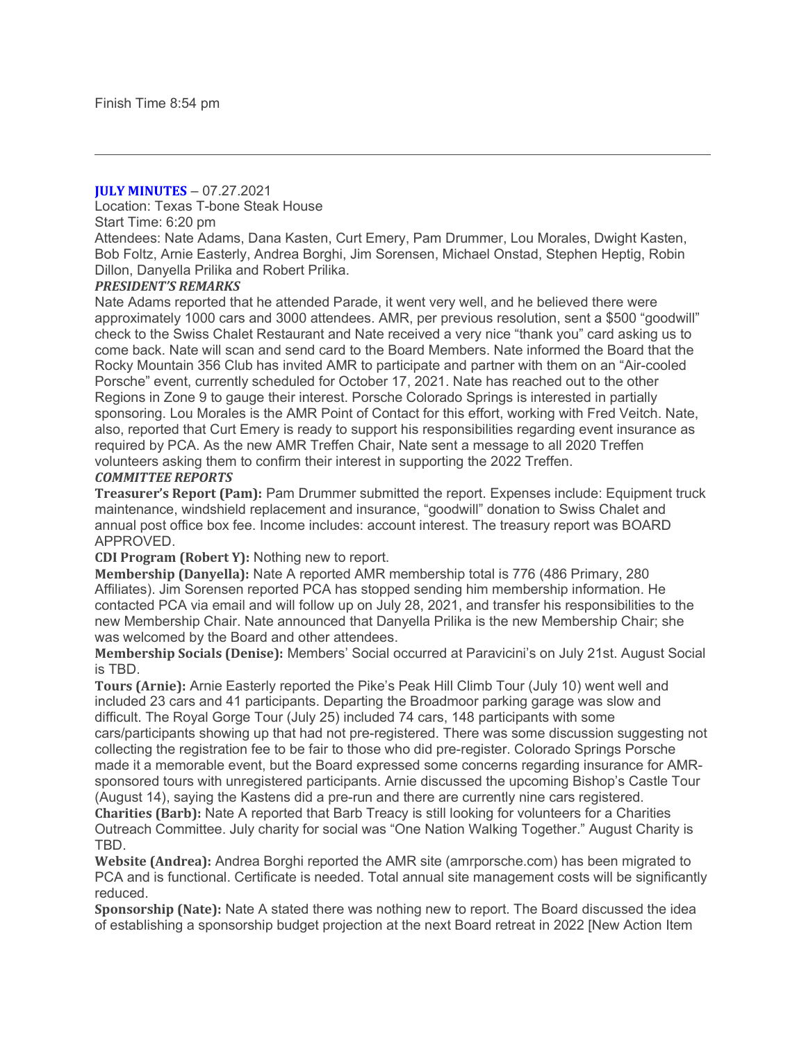#### **JULY MINUTES – 07.27.2021**

Location: Texas T-bone Steak House

#### Start Time: 6:20 pm

Attendees: Nate Adams, Dana Kasten, Curt Emery, Pam Drummer, Lou Morales, Dwight Kasten, Bob Foltz, Arnie Easterly, Andrea Borghi, Jim Sorensen, Michael Onstad, Stephen Heptig, Robin Dillon, Danyella Prilika and Robert Prilika.

#### PRESIDENT'S REMARKS

Nate Adams reported that he attended Parade, it went very well, and he believed there were approximately 1000 cars and 3000 attendees. AMR, per previous resolution, sent a \$500 "goodwill" check to the Swiss Chalet Restaurant and Nate received a very nice "thank you" card asking us to come back. Nate will scan and send card to the Board Members. Nate informed the Board that the Rocky Mountain 356 Club has invited AMR to participate and partner with them on an "Air-cooled Porsche" event, currently scheduled for October 17, 2021. Nate has reached out to the other Regions in Zone 9 to gauge their interest. Porsche Colorado Springs is interested in partially sponsoring. Lou Morales is the AMR Point of Contact for this effort, working with Fred Veitch. Nate, also, reported that Curt Emery is ready to support his responsibilities regarding event insurance as required by PCA. As the new AMR Treffen Chair, Nate sent a message to all 2020 Treffen volunteers asking them to confirm their interest in supporting the 2022 Treffen. COMMITTEE REPORTS

Treasurer's Report (Pam): Pam Drummer submitted the report. Expenses include: Equipment truck maintenance, windshield replacement and insurance, "goodwill" donation to Swiss Chalet and annual post office box fee. Income includes: account interest. The treasury report was BOARD APPROVED.

CDI Program (Robert Y): Nothing new to report.

Membership (Danyella): Nate A reported AMR membership total is 776 (486 Primary, 280 Affiliates). Jim Sorensen reported PCA has stopped sending him membership information. He contacted PCA via email and will follow up on July 28, 2021, and transfer his responsibilities to the new Membership Chair. Nate announced that Danyella Prilika is the new Membership Chair; she was welcomed by the Board and other attendees.

Membership Socials (Denise): Members' Social occurred at Paravicini's on July 21st. August Social is TBD.

Tours (Arnie): Arnie Easterly reported the Pike's Peak Hill Climb Tour (July 10) went well and included 23 cars and 41 participants. Departing the Broadmoor parking garage was slow and difficult. The Royal Gorge Tour (July 25) included 74 cars, 148 participants with some cars/participants showing up that had not pre-registered. There was some discussion suggesting not collecting the registration fee to be fair to those who did pre-register. Colorado Springs Porsche made it a memorable event, but the Board expressed some concerns regarding insurance for AMRsponsored tours with unregistered participants. Arnie discussed the upcoming Bishop's Castle Tour (August 14), saying the Kastens did a pre-run and there are currently nine cars registered.

Charities (Barb): Nate A reported that Barb Treacy is still looking for volunteers for a Charities Outreach Committee. July charity for social was "One Nation Walking Together." August Charity is TBD.

Website (Andrea): Andrea Borghi reported the AMR site (amrporsche.com) has been migrated to PCA and is functional. Certificate is needed. Total annual site management costs will be significantly reduced.

Sponsorship (Nate): Nate A stated there was nothing new to report. The Board discussed the idea of establishing a sponsorship budget projection at the next Board retreat in 2022 [New Action Item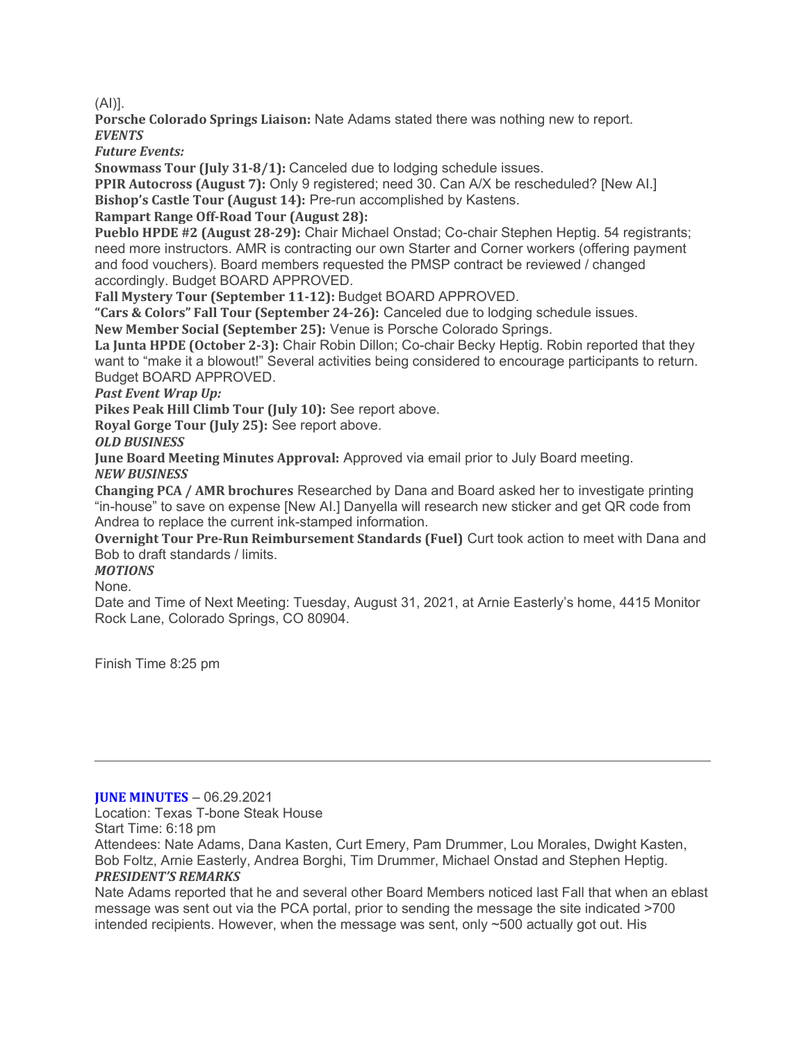(AI)].

Porsche Colorado Springs Liaison: Nate Adams stated there was nothing new to report. **EVENTS** 

Future Events:

Snowmass Tour (July 31-8/1): Canceled due to lodging schedule issues.

PPIR Autocross (August 7): Only 9 registered; need 30. Can A/X be rescheduled? [New AI.] Bishop's Castle Tour (August 14): Pre-run accomplished by Kastens.

Rampart Range Off-Road Tour (August 28):

Pueblo HPDE #2 (August 28-29): Chair Michael Onstad; Co-chair Stephen Heptig. 54 registrants; need more instructors. AMR is contracting our own Starter and Corner workers (offering payment and food vouchers). Board members requested the PMSP contract be reviewed / changed accordingly. Budget BOARD APPROVED.

Fall Mystery Tour (September 11-12): Budget BOARD APPROVED.

"Cars & Colors" Fall Tour (September 24-26): Canceled due to lodging schedule issues.

New Member Social (September 25): Venue is Porsche Colorado Springs.

La Junta HPDE (October 2-3): Chair Robin Dillon; Co-chair Becky Heptig. Robin reported that they want to "make it a blowout!" Several activities being considered to encourage participants to return. Budget BOARD APPROVED.

Past Event Wrap Up:

Pikes Peak Hill Climb Tour (July 10): See report above.

Royal Gorge Tour (July 25): See report above.

OLD BUSINESS

June Board Meeting Minutes Approval: Approved via email prior to July Board meeting. NEW BUSINESS

Changing PCA / AMR brochures Researched by Dana and Board asked her to investigate printing "in-house" to save on expense [New AI.] Danyella will research new sticker and get QR code from Andrea to replace the current ink-stamped information.

Overnight Tour Pre-Run Reimbursement Standards (Fuel) Curt took action to meet with Dana and Bob to draft standards / limits.

MOTIONS

None.

Date and Time of Next Meeting: Tuesday, August 31, 2021, at Arnie Easterly's home, 4415 Monitor Rock Lane, Colorado Springs, CO 80904.

Finish Time 8:25 pm

#### **JUNE MINUTES – 06.29.2021**

Location: Texas T-bone Steak House

Start Time: 6:18 pm

Attendees: Nate Adams, Dana Kasten, Curt Emery, Pam Drummer, Lou Morales, Dwight Kasten, Bob Foltz, Arnie Easterly, Andrea Borghi, Tim Drummer, Michael Onstad and Stephen Heptig.

# PRESIDENT'S REMARKS

Nate Adams reported that he and several other Board Members noticed last Fall that when an eblast message was sent out via the PCA portal, prior to sending the message the site indicated >700 intended recipients. However, when the message was sent, only ~500 actually got out. His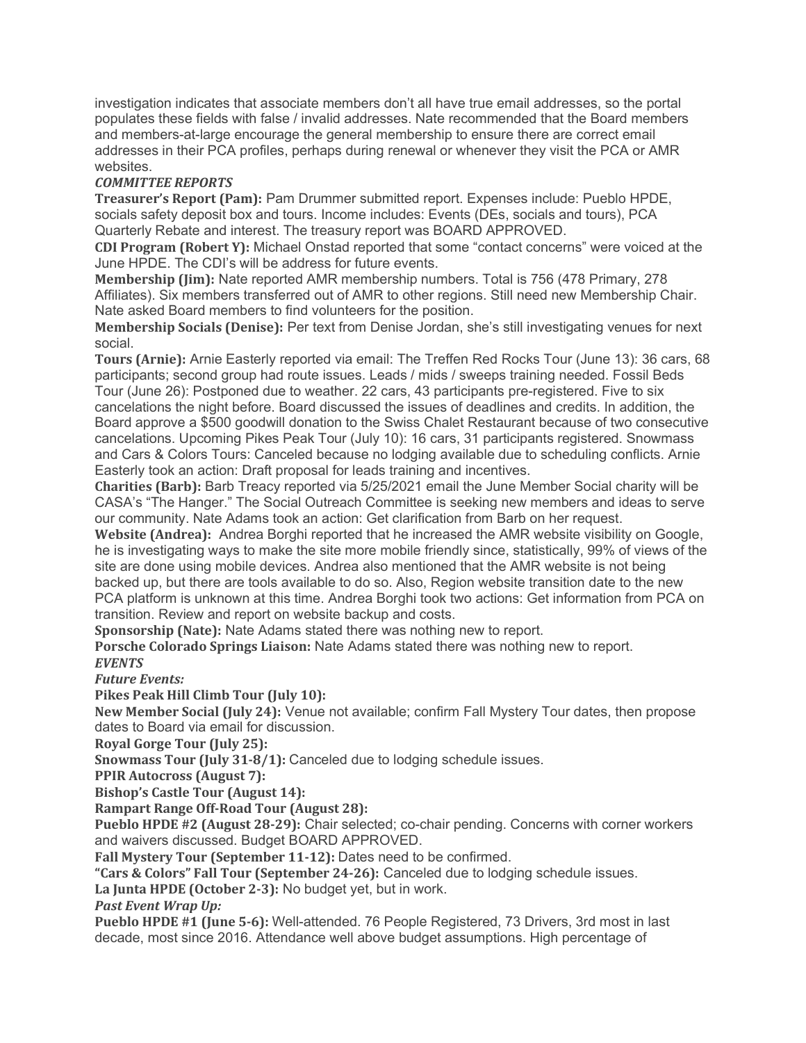investigation indicates that associate members don't all have true email addresses, so the portal populates these fields with false / invalid addresses. Nate recommended that the Board members and members-at-large encourage the general membership to ensure there are correct email addresses in their PCA profiles, perhaps during renewal or whenever they visit the PCA or AMR websites.

# COMMITTEE REPORTS

Treasurer's Report (Pam): Pam Drummer submitted report. Expenses include: Pueblo HPDE, socials safety deposit box and tours. Income includes: Events (DEs, socials and tours), PCA Quarterly Rebate and interest. The treasury report was BOARD APPROVED.

CDI Program (Robert Y): Michael Onstad reported that some "contact concerns" were voiced at the June HPDE. The CDI's will be address for future events.

Membership (Jim): Nate reported AMR membership numbers. Total is 756 (478 Primary, 278 Affiliates). Six members transferred out of AMR to other regions. Still need new Membership Chair. Nate asked Board members to find volunteers for the position.

Membership Socials (Denise): Per text from Denise Jordan, she's still investigating venues for next social.

Tours (Arnie): Arnie Easterly reported via email: The Treffen Red Rocks Tour (June 13): 36 cars, 68 participants; second group had route issues. Leads / mids / sweeps training needed. Fossil Beds Tour (June 26): Postponed due to weather. 22 cars, 43 participants pre-registered. Five to six cancelations the night before. Board discussed the issues of deadlines and credits. In addition, the Board approve a \$500 goodwill donation to the Swiss Chalet Restaurant because of two consecutive cancelations. Upcoming Pikes Peak Tour (July 10): 16 cars, 31 participants registered. Snowmass and Cars & Colors Tours: Canceled because no lodging available due to scheduling conflicts. Arnie Easterly took an action: Draft proposal for leads training and incentives.

Charities (Barb): Barb Treacy reported via 5/25/2021 email the June Member Social charity will be CASA's "The Hanger." The Social Outreach Committee is seeking new members and ideas to serve our community. Nate Adams took an action: Get clarification from Barb on her request.

Website (Andrea): Andrea Borghi reported that he increased the AMR website visibility on Google, he is investigating ways to make the site more mobile friendly since, statistically, 99% of views of the site are done using mobile devices. Andrea also mentioned that the AMR website is not being backed up, but there are tools available to do so. Also, Region website transition date to the new PCA platform is unknown at this time. Andrea Borghi took two actions: Get information from PCA on transition. Review and report on website backup and costs.

Sponsorship (Nate): Nate Adams stated there was nothing new to report.

Porsche Colorado Springs Liaison: Nate Adams stated there was nothing new to report.

**EVENTS** 

Future Events:

Pikes Peak Hill Climb Tour (July 10):

New Member Social (July 24): Venue not available; confirm Fall Mystery Tour dates, then propose dates to Board via email for discussion.

Royal Gorge Tour (July 25):

Snowmass Tour (July 31-8/1): Canceled due to lodging schedule issues.

PPIR Autocross (August 7):

Bishop's Castle Tour (August 14):

Rampart Range Off-Road Tour (August 28):

Pueblo HPDE #2 (August 28-29): Chair selected; co-chair pending. Concerns with corner workers and waivers discussed. Budget BOARD APPROVED.

Fall Mystery Tour (September 11-12): Dates need to be confirmed.

"Cars & Colors" Fall Tour (September 24-26): Canceled due to lodging schedule issues.

La Junta HPDE (October 2-3): No budget yet, but in work.

Past Event Wrap Up:

Pueblo HPDE #1 (June 5-6): Well-attended. 76 People Registered, 73 Drivers, 3rd most in last decade, most since 2016. Attendance well above budget assumptions. High percentage of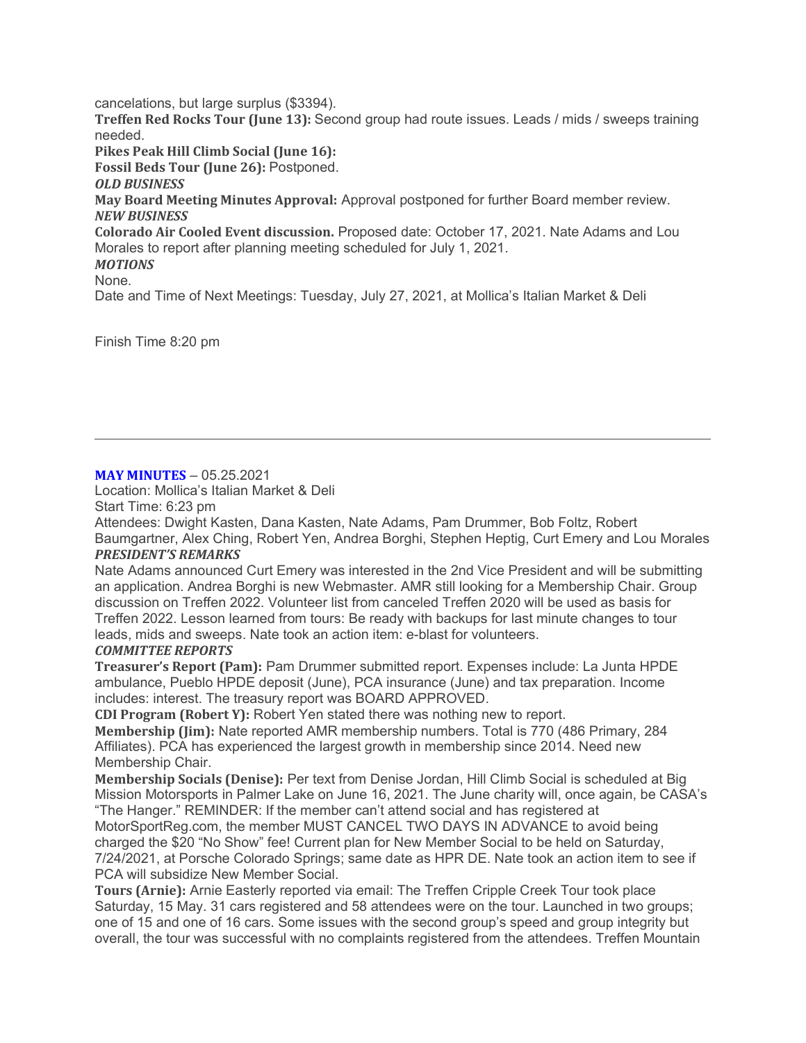cancelations, but large surplus (\$3394). Treffen Red Rocks Tour (June 13): Second group had route issues. Leads / mids / sweeps training needed. Pikes Peak Hill Climb Social (June 16): Fossil Beds Tour (June 26): Postponed. OLD BUSINESS May Board Meeting Minutes Approval: Approval postponed for further Board member review. NEW BUSINESS Colorado Air Cooled Event discussion. Proposed date: October 17, 2021. Nate Adams and Lou Morales to report after planning meeting scheduled for July 1, 2021. MOTIONS None. Date and Time of Next Meetings: Tuesday, July 27, 2021, at Mollica's Italian Market & Deli

Finish Time 8:20 pm

# **MAY MINUTES – 05.25.2021**

Location: Mollica's Italian Market & Deli

Start Time: 6:23 pm

Attendees: Dwight Kasten, Dana Kasten, Nate Adams, Pam Drummer, Bob Foltz, Robert Baumgartner, Alex Ching, Robert Yen, Andrea Borghi, Stephen Heptig, Curt Emery and Lou Morales PRESIDENT'S REMARKS

Nate Adams announced Curt Emery was interested in the 2nd Vice President and will be submitting an application. Andrea Borghi is new Webmaster. AMR still looking for a Membership Chair. Group discussion on Treffen 2022. Volunteer list from canceled Treffen 2020 will be used as basis for Treffen 2022. Lesson learned from tours: Be ready with backups for last minute changes to tour leads, mids and sweeps. Nate took an action item: e-blast for volunteers.

# COMMITTEE REPORTS

Treasurer's Report (Pam): Pam Drummer submitted report. Expenses include: La Junta HPDE ambulance, Pueblo HPDE deposit (June), PCA insurance (June) and tax preparation. Income includes: interest. The treasury report was BOARD APPROVED.

CDI Program (Robert Y): Robert Yen stated there was nothing new to report. Membership (Jim): Nate reported AMR membership numbers. Total is 770 (486 Primary, 284 Affiliates). PCA has experienced the largest growth in membership since 2014. Need new Membership Chair.

Membership Socials (Denise): Per text from Denise Jordan, Hill Climb Social is scheduled at Big Mission Motorsports in Palmer Lake on June 16, 2021. The June charity will, once again, be CASA's "The Hanger." REMINDER: If the member can't attend social and has registered at

MotorSportReg.com, the member MUST CANCEL TWO DAYS IN ADVANCE to avoid being charged the \$20 "No Show" fee! Current plan for New Member Social to be held on Saturday, 7/24/2021, at Porsche Colorado Springs; same date as HPR DE. Nate took an action item to see if PCA will subsidize New Member Social.

Tours (Arnie): Arnie Easterly reported via email: The Treffen Cripple Creek Tour took place Saturday, 15 May. 31 cars registered and 58 attendees were on the tour. Launched in two groups; one of 15 and one of 16 cars. Some issues with the second group's speed and group integrity but overall, the tour was successful with no complaints registered from the attendees. Treffen Mountain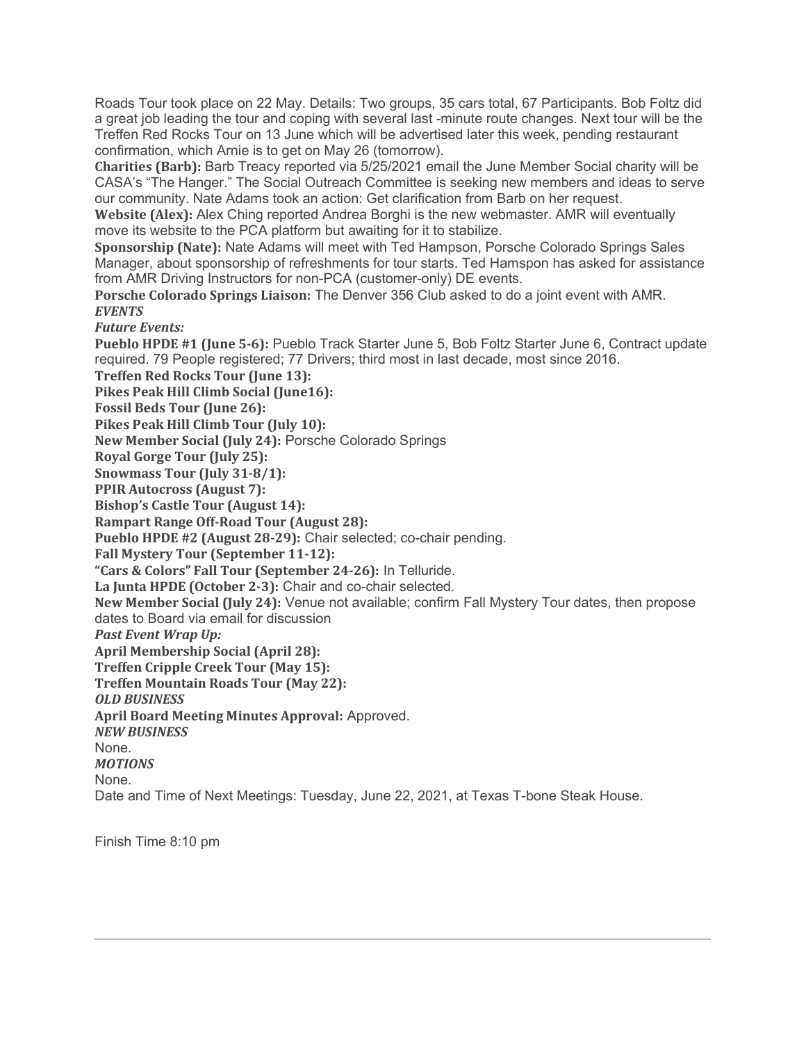Roads Tour took place on 22 May. Details: Two groups, 35 cars total, 67 Participants. Bob Foltz did a great job leading the tour and coping with several last -minute route changes. Next tour will be the Treffen Red Rocks Tour on 13 June which will be advertised later this week, pending restaurant confirmation, which Arnie is to get on May 26 (tomorrow).

Charities (Barb): Barb Treacy reported via 5/25/2021 email the June Member Social charity will be CASA's "The Hanger." The Social Outreach Committee is seeking new members and ideas to serve our community. Nate Adams took an action: Get clarification from Barb on her request.

Website (Alex): Alex Ching reported Andrea Borghi is the new webmaster. AMR will eventually move its website to the PCA platform but awaiting for it to stabilize.

Sponsorship (Nate): Nate Adams will meet with Ted Hampson, Porsche Colorado Springs Sales Manager, about sponsorship of refreshments for tour starts. Ted Hamspon has asked for assistance from AMR Driving Instructors for non-PCA (customer-only) DE events.

Porsche Colorado Springs Liaison: The Denver 356 Club asked to do a joint event with AMR. **EVENTS** 

Future Events:

Pueblo HPDE #1 (June 5-6): Pueblo Track Starter June 5, Bob Foltz Starter June 6, Contract update required. 79 People registered; 77 Drivers; third most in last decade, most since 2016.

Treffen Red Rocks Tour (June 13):

Pikes Peak Hill Climb Social (June16):

Fossil Beds Tour (June 26):

Pikes Peak Hill Climb Tour (July 10):

New Member Social (July 24): Porsche Colorado Springs

Royal Gorge Tour (July 25):

Snowmass Tour (July 31-8/1):

PPIR Autocross (August 7):

Bishop's Castle Tour (August 14):

Rampart Range Off-Road Tour (August 28):

Pueblo HPDE #2 (August 28-29): Chair selected; co-chair pending.

Fall Mystery Tour (September 11-12):

"Cars & Colors" Fall Tour (September 24-26): In Telluride.

La Junta HPDE (October 2-3): Chair and co-chair selected.

New Member Social (July 24): Venue not available; confirm Fall Mystery Tour dates, then propose dates to Board via email for discussion

Past Event Wrap Up:

April Membership Social (April 28):

Treffen Cripple Creek Tour (May 15):

Treffen Mountain Roads Tour (May 22):

OLD BUSINESS

April Board Meeting Minutes Approval: Approved.

NEW BUSINESS

None.

MOTIONS None.

Date and Time of Next Meetings: Tuesday, June 22, 2021, at Texas T-bone Steak House.

Finish Time 8:10 pm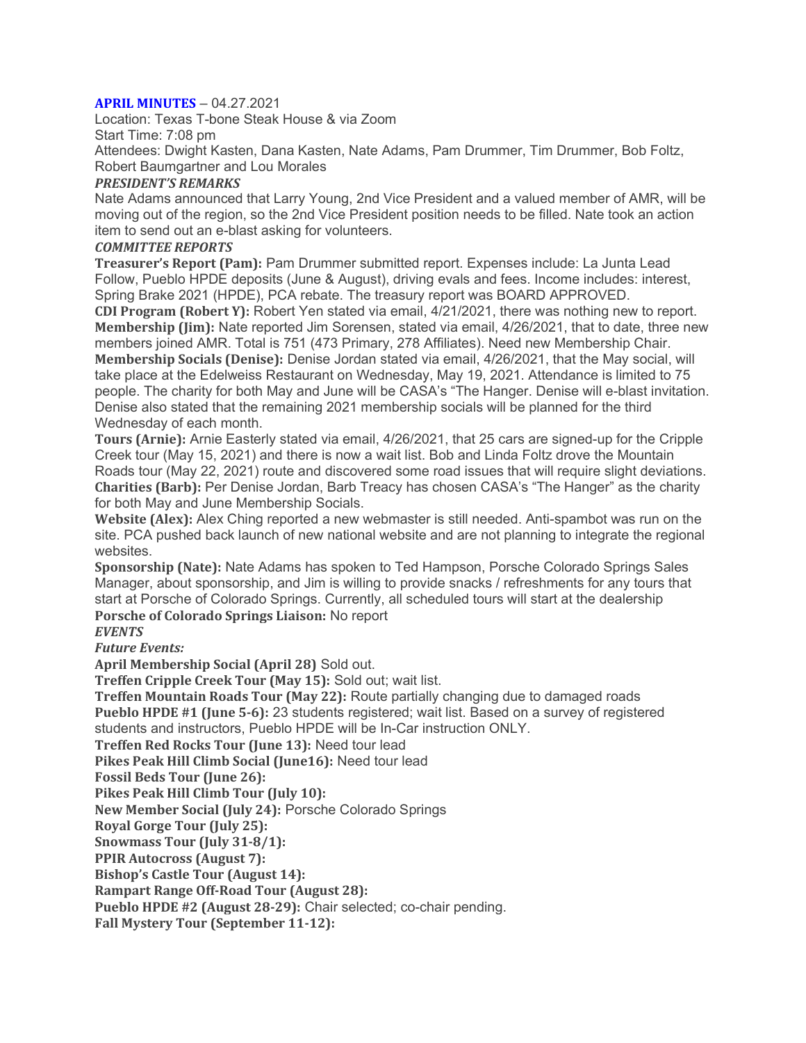#### APRIL MINUTES – 04.27.2021

Location: Texas T-bone Steak House & via Zoom Start Time: 7:08 pm Attendees: Dwight Kasten, Dana Kasten, Nate Adams, Pam Drummer, Tim Drummer, Bob Foltz,

Robert Baumgartner and Lou Morales

#### PRESIDENT'S REMARKS

Nate Adams announced that Larry Young, 2nd Vice President and a valued member of AMR, will be moving out of the region, so the 2nd Vice President position needs to be filled. Nate took an action item to send out an e-blast asking for volunteers.

#### COMMITTEE REPORTS

Treasurer's Report (Pam): Pam Drummer submitted report. Expenses include: La Junta Lead Follow, Pueblo HPDE deposits (June & August), driving evals and fees. Income includes: interest, Spring Brake 2021 (HPDE), PCA rebate. The treasury report was BOARD APPROVED.

CDI Program (Robert Y): Robert Yen stated via email, 4/21/2021, there was nothing new to report. Membership (Jim): Nate reported Jim Sorensen, stated via email, 4/26/2021, that to date, three new members joined AMR. Total is 751 (473 Primary, 278 Affiliates). Need new Membership Chair. Membership Socials (Denise): Denise Jordan stated via email, 4/26/2021, that the May social, will take place at the Edelweiss Restaurant on Wednesday, May 19, 2021. Attendance is limited to 75 people. The charity for both May and June will be CASA's "The Hanger. Denise will e-blast invitation. Denise also stated that the remaining 2021 membership socials will be planned for the third Wednesday of each month.

Tours (Arnie): Arnie Easterly stated via email, 4/26/2021, that 25 cars are signed-up for the Cripple Creek tour (May 15, 2021) and there is now a wait list. Bob and Linda Foltz drove the Mountain Roads tour (May 22, 2021) route and discovered some road issues that will require slight deviations. Charities (Barb): Per Denise Jordan, Barb Treacy has chosen CASA's "The Hanger" as the charity for both May and June Membership Socials.

Website (Alex): Alex Ching reported a new webmaster is still needed. Anti-spambot was run on the site. PCA pushed back launch of new national website and are not planning to integrate the regional websites.

Sponsorship (Nate): Nate Adams has spoken to Ted Hampson, Porsche Colorado Springs Sales Manager, about sponsorship, and Jim is willing to provide snacks / refreshments for any tours that start at Porsche of Colorado Springs. Currently, all scheduled tours will start at the dealership Porsche of Colorado Springs Liaison: No report

**EVENTS** 

Future Events:

April Membership Social (April 28) Sold out.

Treffen Cripple Creek Tour (May 15): Sold out; wait list.

Treffen Mountain Roads Tour (May 22): Route partially changing due to damaged roads Pueblo HPDE #1 (June 5-6): 23 students registered; wait list. Based on a survey of registered students and instructors, Pueblo HPDE will be In-Car instruction ONLY.

Treffen Red Rocks Tour (June 13): Need tour lead

Pikes Peak Hill Climb Social (June16): Need tour lead

Fossil Beds Tour (June 26):

Pikes Peak Hill Climb Tour (July 10):

New Member Social (July 24): Porsche Colorado Springs

Royal Gorge Tour (July 25):

Snowmass Tour (July 31-8/1):

PPIR Autocross (August 7):

Bishop's Castle Tour (August 14):

Rampart Range Off-Road Tour (August 28):

Pueblo HPDE #2 (August 28-29): Chair selected; co-chair pending.

Fall Mystery Tour (September 11-12):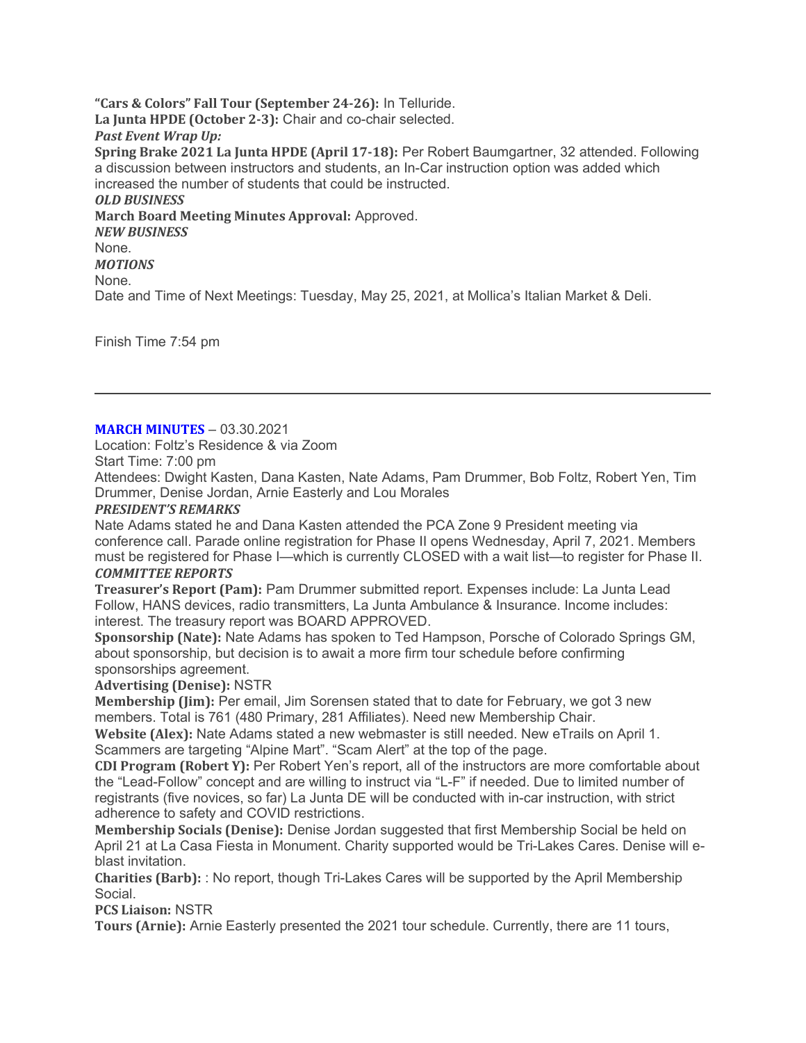"Cars & Colors" Fall Tour (September 24-26): In Telluride. La Junta HPDE (October 2-3): Chair and co-chair selected. Past Event Wrap Up: Spring Brake 2021 La Junta HPDE (April 17-18): Per Robert Baumgartner, 32 attended. Following a discussion between instructors and students, an In-Car instruction option was added which increased the number of students that could be instructed. OLD BUSINESS March Board Meeting Minutes Approval: Approved. NEW BUSINESS None. MOTIONS None. Date and Time of Next Meetings: Tuesday, May 25, 2021, at Mollica's Italian Market & Deli.

Finish Time 7:54 pm

#### **MARCH MINUTES – 03.30.2021**

Location: Foltz's Residence & via Zoom

Start Time: 7:00 pm

Attendees: Dwight Kasten, Dana Kasten, Nate Adams, Pam Drummer, Bob Foltz, Robert Yen, Tim Drummer, Denise Jordan, Arnie Easterly and Lou Morales

# PRESIDENT'S REMARKS

Nate Adams stated he and Dana Kasten attended the PCA Zone 9 President meeting via conference call. Parade online registration for Phase II opens Wednesday, April 7, 2021. Members must be registered for Phase I—which is currently CLOSED with a wait list—to register for Phase II. COMMITTEE REPORTS

Treasurer's Report (Pam): Pam Drummer submitted report. Expenses include: La Junta Lead Follow, HANS devices, radio transmitters, La Junta Ambulance & Insurance. Income includes: interest. The treasury report was BOARD APPROVED.

Sponsorship (Nate): Nate Adams has spoken to Ted Hampson, Porsche of Colorado Springs GM, about sponsorship, but decision is to await a more firm tour schedule before confirming sponsorships agreement.

Advertising (Denise): NSTR

Membership (Jim): Per email, Jim Sorensen stated that to date for February, we got 3 new members. Total is 761 (480 Primary, 281 Affiliates). Need new Membership Chair.

Website (Alex): Nate Adams stated a new webmaster is still needed. New eTrails on April 1. Scammers are targeting "Alpine Mart". "Scam Alert" at the top of the page.

CDI Program (Robert Y): Per Robert Yen's report, all of the instructors are more comfortable about the "Lead-Follow" concept and are willing to instruct via "L-F" if needed. Due to limited number of registrants (five novices, so far) La Junta DE will be conducted with in-car instruction, with strict adherence to safety and COVID restrictions.

Membership Socials (Denise): Denise Jordan suggested that first Membership Social be held on April 21 at La Casa Fiesta in Monument. Charity supported would be Tri-Lakes Cares. Denise will eblast invitation.

Charities (Barb): : No report, though Tri-Lakes Cares will be supported by the April Membership Social.

PCS Liaison: NSTR

Tours (Arnie): Arnie Easterly presented the 2021 tour schedule. Currently, there are 11 tours,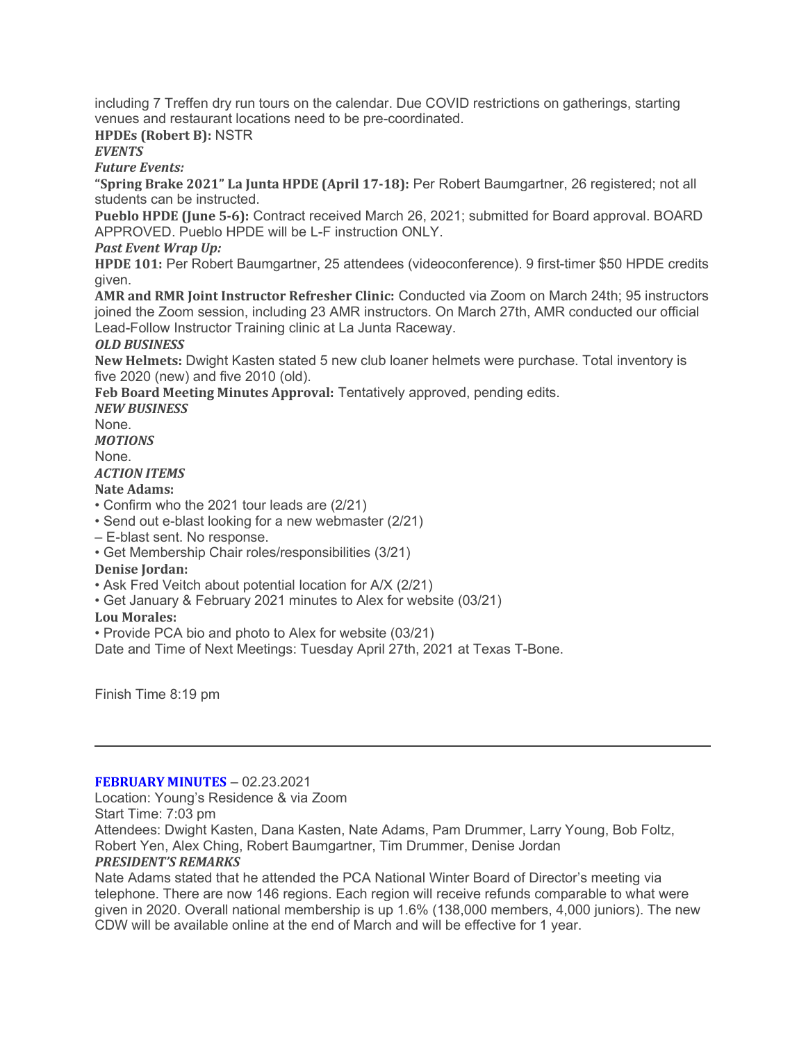including 7 Treffen dry run tours on the calendar. Due COVID restrictions on gatherings, starting venues and restaurant locations need to be pre-coordinated.

# HPDEs (Robert B): NSTR

# **EVENTS**

Future Events:

"Spring Brake 2021" La Junta HPDE (April 17-18): Per Robert Baumgartner, 26 registered; not all students can be instructed.

Pueblo HPDE (June 5-6): Contract received March 26, 2021; submitted for Board approval. BOARD APPROVED. Pueblo HPDE will be L-F instruction ONLY.

# Past Event Wrap Up:

HPDE 101: Per Robert Baumgartner, 25 attendees (videoconference). 9 first-timer \$50 HPDE credits given.

AMR and RMR Joint Instructor Refresher Clinic: Conducted via Zoom on March 24th; 95 instructors joined the Zoom session, including 23 AMR instructors. On March 27th, AMR conducted our official Lead-Follow Instructor Training clinic at La Junta Raceway.

# OLD BUSINESS

New Helmets: Dwight Kasten stated 5 new club loaner helmets were purchase. Total inventory is five 2020 (new) and five 2010 (old).

Feb Board Meeting Minutes Approval: Tentatively approved, pending edits.

NEW BUSINESS

None.

**MOTIONS** None.

# ACTION ITEMS

Nate Adams:

- Confirm who the 2021 tour leads are (2/21)
- Send out e-blast looking for a new webmaster (2/21)
- E-blast sent. No response.
- Get Membership Chair roles/responsibilities (3/21)

# Denise Jordan:

- Ask Fred Veitch about potential location for A/X (2/21)
- Get January & February 2021 minutes to Alex for website (03/21)

# Lou Morales:

• Provide PCA bio and photo to Alex for website (03/21)

Date and Time of Next Meetings: Tuesday April 27th, 2021 at Texas T-Bone.

Finish Time 8:19 pm

#### FEBRUARY MINUTES – 02.23.2021

Location: Young's Residence & via Zoom Start Time: 7:03 pm Attendees: Dwight Kasten, Dana Kasten, Nate Adams, Pam Drummer, Larry Young, Bob Foltz, Robert Yen, Alex Ching, Robert Baumgartner, Tim Drummer, Denise Jordan PRESIDENT'S REMARKS

Nate Adams stated that he attended the PCA National Winter Board of Director's meeting via telephone. There are now 146 regions. Each region will receive refunds comparable to what were given in 2020. Overall national membership is up 1.6% (138,000 members, 4,000 juniors). The new CDW will be available online at the end of March and will be effective for 1 year.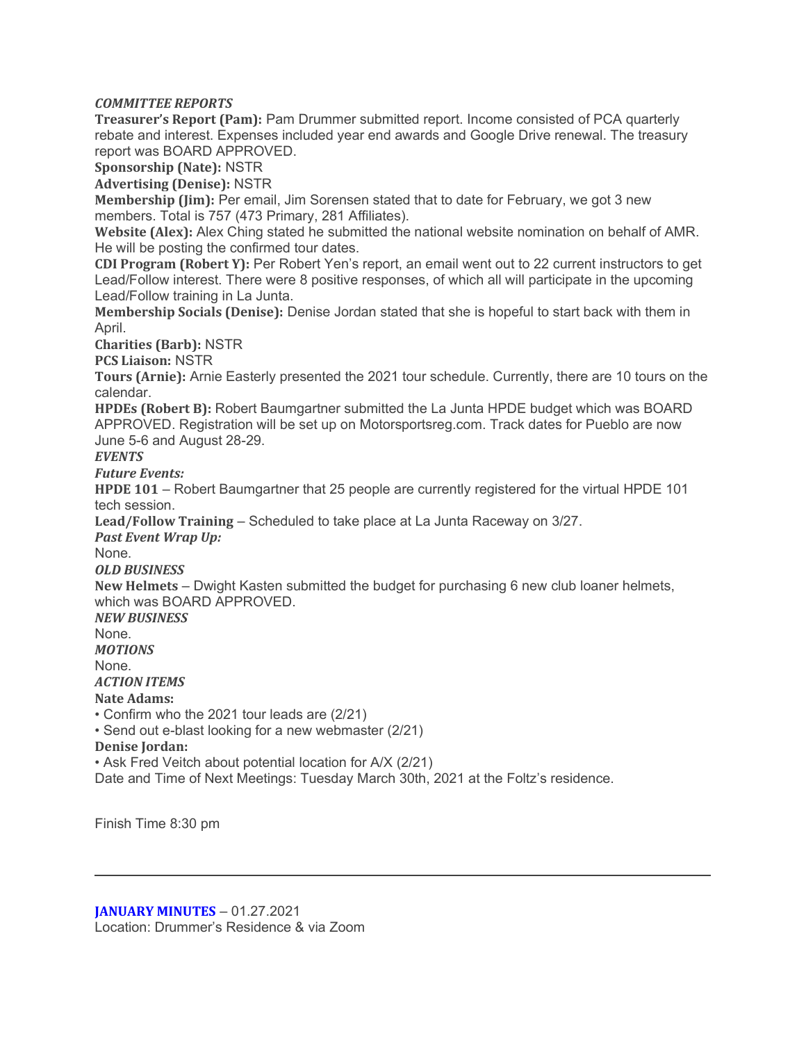# COMMITTEE REPORTS

Treasurer's Report (Pam): Pam Drummer submitted report. Income consisted of PCA quarterly rebate and interest. Expenses included year end awards and Google Drive renewal. The treasury report was BOARD APPROVED.

Sponsorship (Nate): NSTR

Advertising (Denise): NSTR

Membership (Jim): Per email, Jim Sorensen stated that to date for February, we got 3 new members. Total is 757 (473 Primary, 281 Affiliates).

Website (Alex): Alex Ching stated he submitted the national website nomination on behalf of AMR. He will be posting the confirmed tour dates.

CDI Program (Robert Y): Per Robert Yen's report, an email went out to 22 current instructors to get Lead/Follow interest. There were 8 positive responses, of which all will participate in the upcoming Lead/Follow training in La Junta.

Membership Socials (Denise): Denise Jordan stated that she is hopeful to start back with them in April.

Charities (Barb): NSTR

PCS Liaison: NSTR

Tours (Arnie): Arnie Easterly presented the 2021 tour schedule. Currently, there are 10 tours on the calendar.

HPDEs (Robert B): Robert Baumgartner submitted the La Junta HPDE budget which was BOARD APPROVED. Registration will be set up on Motorsportsreg.com. Track dates for Pueblo are now June 5-6 and August 28-29.

**EVENTS** 

Future Events:

HPDE 101 – Robert Baumgartner that 25 people are currently registered for the virtual HPDE 101 tech session.

Lead/Follow Training – Scheduled to take place at La Junta Raceway on 3/27.

Past Event Wrap Up:

None.

OLD BUSINESS

New Helmets – Dwight Kasten submitted the budget for purchasing 6 new club loaner helmets, which was BOARD APPROVED.

NEW BUSINESS

None.

**MOTIONS** 

None.

ACTION ITEMS

Nate Adams:

• Confirm who the 2021 tour leads are (2/21)

• Send out e-blast looking for a new webmaster (2/21)

Denise Jordan:

• Ask Fred Veitch about potential location for A/X (2/21)

Date and Time of Next Meetings: Tuesday March 30th, 2021 at the Foltz's residence.

Finish Time 8:30 pm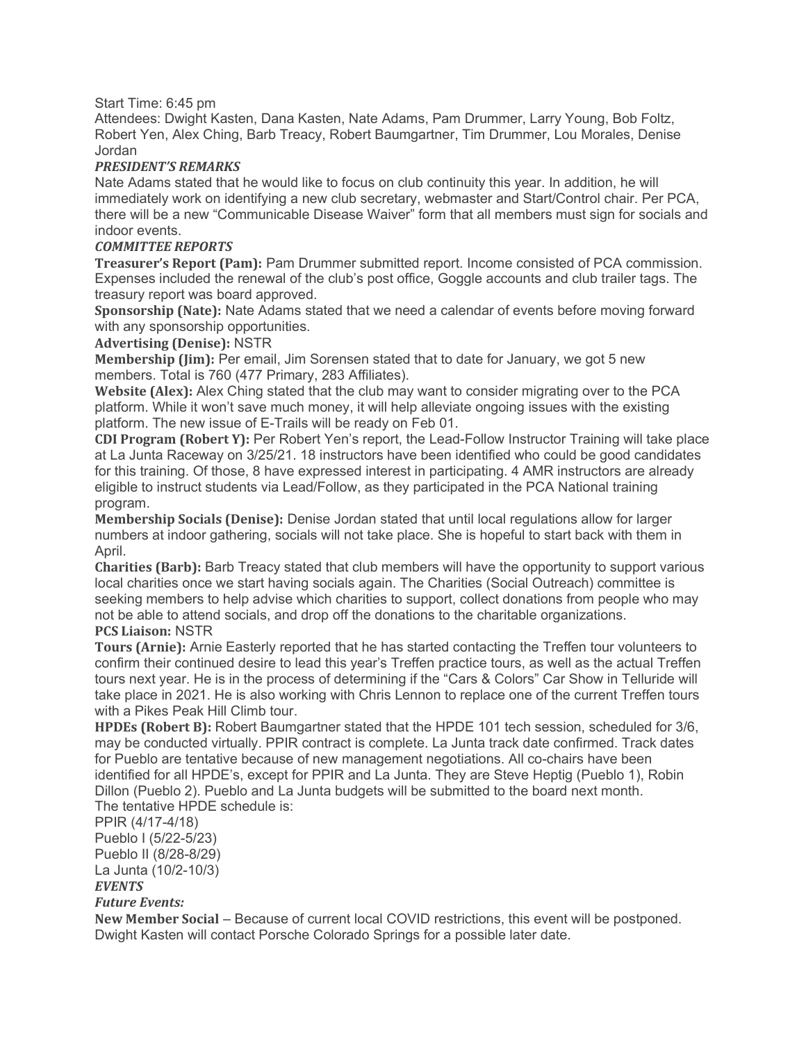### Start Time: 6:45 pm

Attendees: Dwight Kasten, Dana Kasten, Nate Adams, Pam Drummer, Larry Young, Bob Foltz, Robert Yen, Alex Ching, Barb Treacy, Robert Baumgartner, Tim Drummer, Lou Morales, Denise Jordan

## PRESIDENT'S REMARKS

Nate Adams stated that he would like to focus on club continuity this year. In addition, he will immediately work on identifying a new club secretary, webmaster and Start/Control chair. Per PCA, there will be a new "Communicable Disease Waiver" form that all members must sign for socials and indoor events.

#### COMMITTEE REPORTS

Treasurer's Report (Pam): Pam Drummer submitted report. Income consisted of PCA commission. Expenses included the renewal of the club's post office, Goggle accounts and club trailer tags. The treasury report was board approved.

Sponsorship (Nate): Nate Adams stated that we need a calendar of events before moving forward with any sponsorship opportunities.

#### Advertising (Denise): NSTR

Membership (Jim): Per email, Jim Sorensen stated that to date for January, we got 5 new members. Total is 760 (477 Primary, 283 Affiliates).

Website (Alex): Alex Ching stated that the club may want to consider migrating over to the PCA platform. While it won't save much money, it will help alleviate ongoing issues with the existing platform. The new issue of E-Trails will be ready on Feb 01.

CDI Program (Robert Y): Per Robert Yen's report, the Lead-Follow Instructor Training will take place at La Junta Raceway on 3/25/21. 18 instructors have been identified who could be good candidates for this training. Of those, 8 have expressed interest in participating. 4 AMR instructors are already eligible to instruct students via Lead/Follow, as they participated in the PCA National training program.

Membership Socials (Denise): Denise Jordan stated that until local regulations allow for larger numbers at indoor gathering, socials will not take place. She is hopeful to start back with them in April.

Charities (Barb): Barb Treacy stated that club members will have the opportunity to support various local charities once we start having socials again. The Charities (Social Outreach) committee is seeking members to help advise which charities to support, collect donations from people who may not be able to attend socials, and drop off the donations to the charitable organizations.

# PCS Liaison: NSTR

Tours (Arnie): Arnie Easterly reported that he has started contacting the Treffen tour volunteers to confirm their continued desire to lead this year's Treffen practice tours, as well as the actual Treffen tours next year. He is in the process of determining if the "Cars & Colors" Car Show in Telluride will take place in 2021. He is also working with Chris Lennon to replace one of the current Treffen tours with a Pikes Peak Hill Climb tour.

HPDEs (Robert B): Robert Baumgartner stated that the HPDE 101 tech session, scheduled for 3/6, may be conducted virtually. PPIR contract is complete. La Junta track date confirmed. Track dates for Pueblo are tentative because of new management negotiations. All co-chairs have been identified for all HPDE's, except for PPIR and La Junta. They are Steve Heptig (Pueblo 1), Robin Dillon (Pueblo 2). Pueblo and La Junta budgets will be submitted to the board next month. The tentative HPDE schedule is:

PPIR (4/17-4/18) Pueblo I (5/22-5/23) Pueblo II (8/28-8/29)

La Junta (10/2-10/3)

# EVENTS

# Future Events:

New Member Social – Because of current local COVID restrictions, this event will be postponed. Dwight Kasten will contact Porsche Colorado Springs for a possible later date.